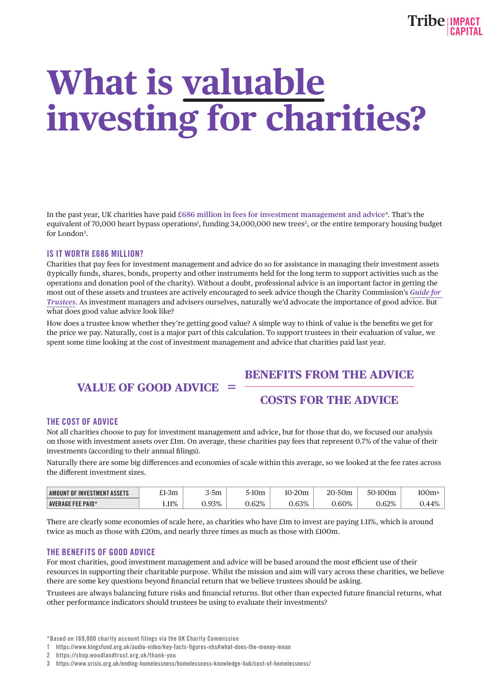# **What is valuable investing for charities?**

In the past year, UK charities have paid **£686 million in fees for investment management and advice\***. That's the equivalent of 70,000 heart bypass operations<sup>1</sup>, funding 34,000,000 new trees<sup>2</sup>, or the entire temporary housing budget for London<sup>3</sup>.

### IS IT WORTH £686 MILLION?

Charities that pay fees for investment management and advice do so for assistance in managing their investment assets (typically funds, shares, bonds, property and other instruments held for the long term to support activities such as the operations and donation pool of the charity). Without a doubt, professional advice is an important factor in getting the most out of these assets and trustees are actively encouraged to seek advice though the Charity Commission's *Guide for Trustees*. As investment managers and advisers ourselves, naturally we'd advocate the importance of good advice. But what does good value advice look like?

How does a trustee know whether they're getting good value? A simple way to think of value is the benefits we get for the price we pay. Naturally, cost is a major part of this calculation. To support trustees in their evaluation of value, we spent some time looking at the cost of investment management and advice that charities paid last year.

## **BENEFITS FROM THE ADVICE**

## **VALUE OF GOOD ADVICE**

## **COSTS FOR THE ADVICE**

#### THE COST OF ADVICE

Not all charities choose to pay for investment management and advice, but for those that do, we focused our analysis on those with investment assets over £1m. On average, these charities pay fees that represent 0.7% of the value of their investments (according to their annual filings).

Naturally there are some big differences and economies of scale within this average, so we looked at the fee rates across the different investment sizes.

| AMOUNT OF INVESTMENT ASSETS |       | r.<br>5m | 5-10n | $\Omega$<br>$\sim$ |      |       | 10 <sup>c</sup> |
|-----------------------------|-------|----------|-------|--------------------|------|-------|-----------------|
| <b>AVERAGE FEE PAID*</b>    | 1.11% | $0.93\%$ | 0.62% | 0.63%              | .60% | 0.62% | AD              |

There are clearly some economies of scale here, as charities who have £1m to invest are paying 1.11%, which is around twice as much as those with £20m, and nearly three times as much as those with £100m.

#### THE BENEFITS OF GOOD ADVICE

For most charities, good investment management and advice will be based around the most efficient use of their resources in supporting their charitable purpose. Whilst the mission and aim will vary across these charities, we believe there are some key questions beyond financial return that we believe trustees should be asking.

Trustees are always balancing future risks and financial returns. But other than expected future financial returns, what other performance indicators should trustees be using to evaluate their investments?

1 https://www.kingsfund.org.uk/audio-video/key-facts-figures-nhs#what-does-the-money-mean

<sup>\*</sup>Based on 169,000 charity account filings via the UK Charity Commission

<sup>2</sup> https://shop.woodlandtrust.org.uk/thank-you

<sup>3</sup> https://www.crisis.org.uk/ending-homelessness/homelessness-knowledge-hub/cost-of-homelessness/